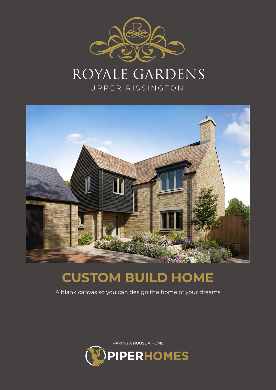

# Royale Gardens

UPPER RISSINGTON



# **CUSTOM BUILD HOME**

A blank canvas so you can design the home of your dreams

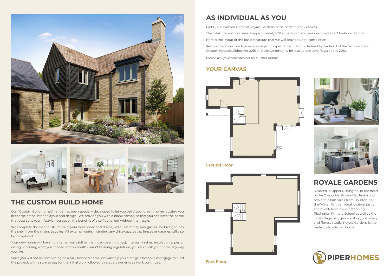



### **THE CUSTOM BUILD HOME**

Our "Custom Build homes" range has been specially developed to let you build your dream home, putting you in charge of the interior layout and design. We provide you with a blank canvas, so that you can have the home that best suits your lifestyle. You get all the benefits of a self build, but without the hassle.

We complete the exterior structure of your new home and drains, water, electricity and gas will be brought into the shell from the mains supplies. All external works including any driveways, paths, fences or garages will also be completed.

Your new home will have no internal walls (other than load-bearing ones), internal finishes, insulation, pipes or wiring. Providing what you choose complies with current building regulations, you can finish your home any way you like.

Since you will not be completing on a fully finished home, we will help you arrange a bespoke mortgage to fund the project, with a sum to pay for the initial work followed by stage payments as work continues.

### **AS INDIVIDUAL AS YOU**

Plot 8, our Custom Home at Royale Gardens is the perfect blank canvas. The total internal floor area is approximately 1651 square foot and was designed as a 3 bedroom home. Here is the layout of the basic structure that we will provide upon completion. Self build and custom homes are subject to specific regulations defined by Section 1 of the Self-build and Custom Housebuilding Act 2015 and the Community Infrastructure Levy Regulations 2010. Please ask your sales adviser for further details.

#### **YOUR CANVAS**



**First Floor**

- 
- 
- 





**Ground Floor**



## **ROYALE GARDENS**

Situated in Upper Rissington, in the heart of the Cotswolds, Royale Gardens is just two and a half miles from Bourton-onthe-Water. With an ideal location just a short walk from the outstanding Rissington Primary School as well as the local village hall, grocery shop, pharmacy and fitness studio, Royale Gardens is the perfect place to call home.